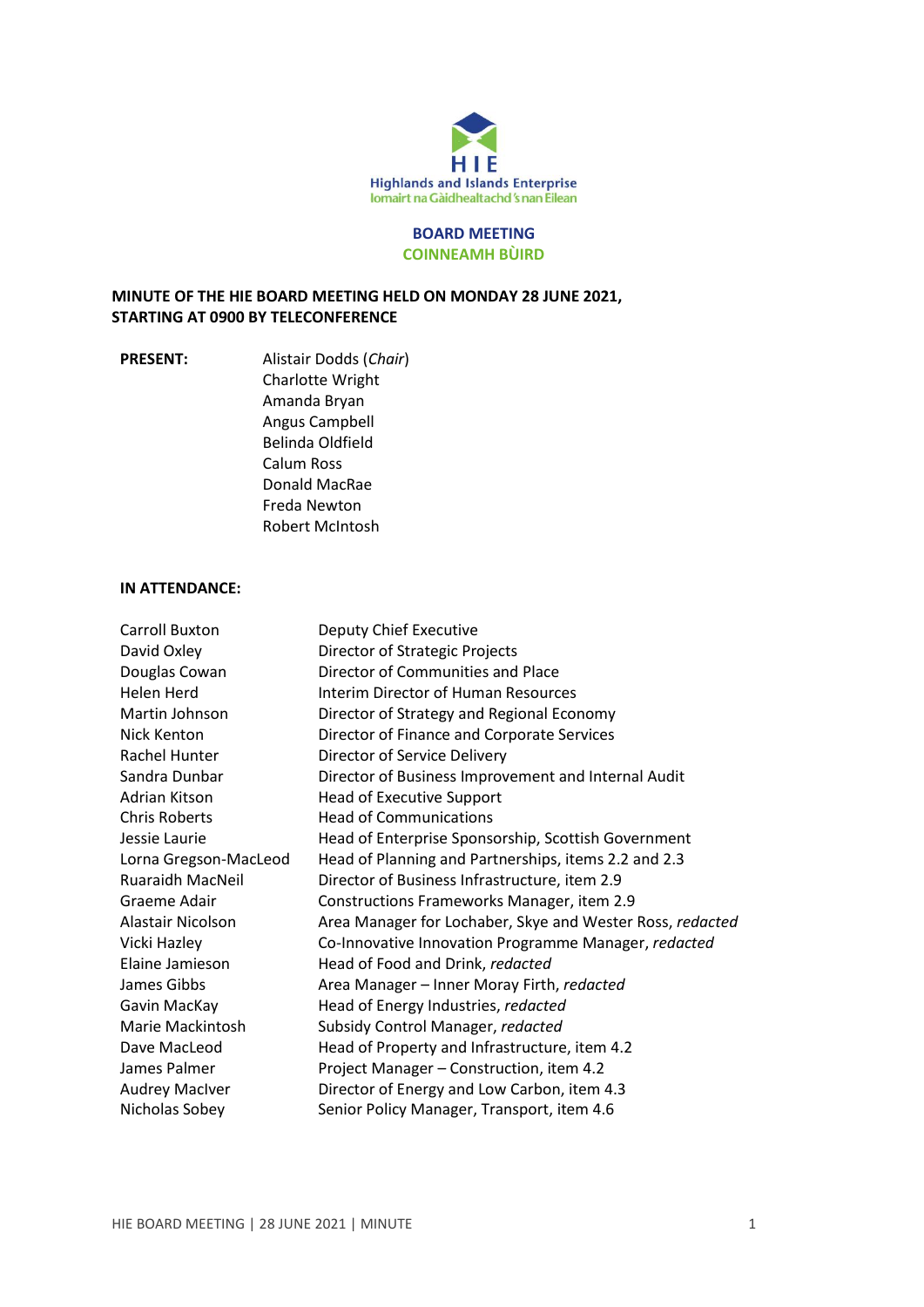

### **BOARD MEETING COINNEAMH BÙIRD**

## **MINUTE OF THE HIE BOARD MEETING HELD ON MONDAY 28 JUNE 2021, STARTING AT 0900 BY TELECONFERENCE**

**PRESENT:** Alistair Dodds (*Chair*) Charlotte Wright Amanda Bryan Angus Campbell Belinda Oldfield Calum Ross Donald MacRae Freda Newton Robert McIntosh

### **IN ATTENDANCE:**

| <b>Carroll Buxton</b>   | Deputy Chief Executive                                    |
|-------------------------|-----------------------------------------------------------|
| David Oxley             | Director of Strategic Projects                            |
| Douglas Cowan           | Director of Communities and Place                         |
| Helen Herd              | Interim Director of Human Resources                       |
| Martin Johnson          | Director of Strategy and Regional Economy                 |
| Nick Kenton             | Director of Finance and Corporate Services                |
| Rachel Hunter           | Director of Service Delivery                              |
| Sandra Dunbar           | Director of Business Improvement and Internal Audit       |
| Adrian Kitson           | Head of Executive Support                                 |
| <b>Chris Roberts</b>    | <b>Head of Communications</b>                             |
| Jessie Laurie           | Head of Enterprise Sponsorship, Scottish Government       |
| Lorna Gregson-MacLeod   | Head of Planning and Partnerships, items 2.2 and 2.3      |
| <b>Ruaraidh MacNeil</b> | Director of Business Infrastructure, item 2.9             |
| Graeme Adair            | Constructions Frameworks Manager, item 2.9                |
| Alastair Nicolson       | Area Manager for Lochaber, Skye and Wester Ross, redacted |
| Vicki Hazley            | Co-Innovative Innovation Programme Manager, redacted      |
| Elaine Jamieson         | Head of Food and Drink, redacted                          |
| James Gibbs             | Area Manager - Inner Moray Firth, redacted                |
| Gavin MacKay            | Head of Energy Industries, redacted                       |
| Marie Mackintosh        | Subsidy Control Manager, redacted                         |
| Dave MacLeod            | Head of Property and Infrastructure, item 4.2             |
| James Palmer            | Project Manager - Construction, item 4.2                  |
| <b>Audrey MacIver</b>   | Director of Energy and Low Carbon, item 4.3               |
| Nicholas Sobey          | Senior Policy Manager, Transport, item 4.6                |
|                         |                                                           |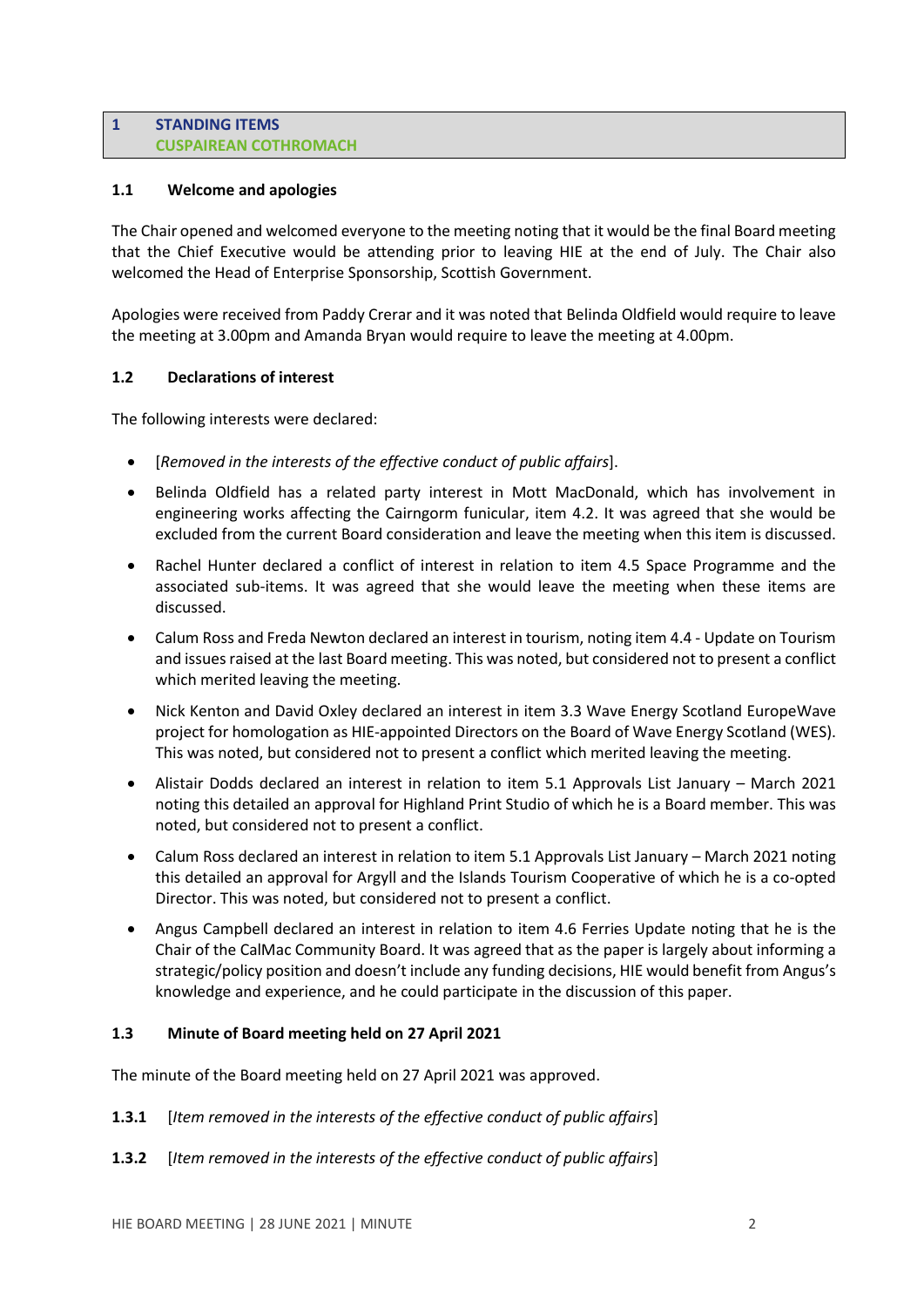#### **1 STANDING ITEMS CUSPAIREAN COTHROMACH**

## **1.1 Welcome and apologies**

The Chair opened and welcomed everyone to the meeting noting that it would be the final Board meeting that the Chief Executive would be attending prior to leaving HIE at the end of July. The Chair also welcomed the Head of Enterprise Sponsorship, Scottish Government.

Apologies were received from Paddy Crerar and it was noted that Belinda Oldfield would require to leave the meeting at 3.00pm and Amanda Bryan would require to leave the meeting at 4.00pm.

## **1.2 Declarations of interest**

The following interests were declared:

- [*Removed in the interests of the effective conduct of public affairs*].
- Belinda Oldfield has a related party interest in Mott MacDonald, which has involvement in engineering works affecting the Cairngorm funicular, item 4.2. It was agreed that she would be excluded from the current Board consideration and leave the meeting when this item is discussed.
- Rachel Hunter declared a conflict of interest in relation to item 4.5 Space Programme and the associated sub-items. It was agreed that she would leave the meeting when these items are discussed.
- Calum Ross and Freda Newton declared an interest in tourism, noting item 4.4 Update on Tourism and issues raised at the last Board meeting. This was noted, but considered not to present a conflict which merited leaving the meeting.
- Nick Kenton and David Oxley declared an interest in item 3.3 Wave Energy Scotland EuropeWave project for homologation as HIE-appointed Directors on the Board of Wave Energy Scotland (WES). This was noted, but considered not to present a conflict which merited leaving the meeting.
- Alistair Dodds declared an interest in relation to item 5.1 Approvals List January March 2021 noting this detailed an approval for Highland Print Studio of which he is a Board member. This was noted, but considered not to present a conflict.
- Calum Ross declared an interest in relation to item 5.1 Approvals List January March 2021 noting this detailed an approval for Argyll and the Islands Tourism Cooperative of which he is a co-opted Director. This was noted, but considered not to present a conflict.
- Angus Campbell declared an interest in relation to item 4.6 Ferries Update noting that he is the Chair of the CalMac Community Board. It was agreed that as the paper is largely about informing a strategic/policy position and doesn't include any funding decisions, HIE would benefit from Angus's knowledge and experience, and he could participate in the discussion of this paper.

## **1.3 Minute of Board meeting held on 27 April 2021**

The minute of the Board meeting held on 27 April 2021 was approved.

- **1.3.1** [*Item removed in the interests of the effective conduct of public affairs*]
- **1.3.2** [*Item removed in the interests of the effective conduct of public affairs*]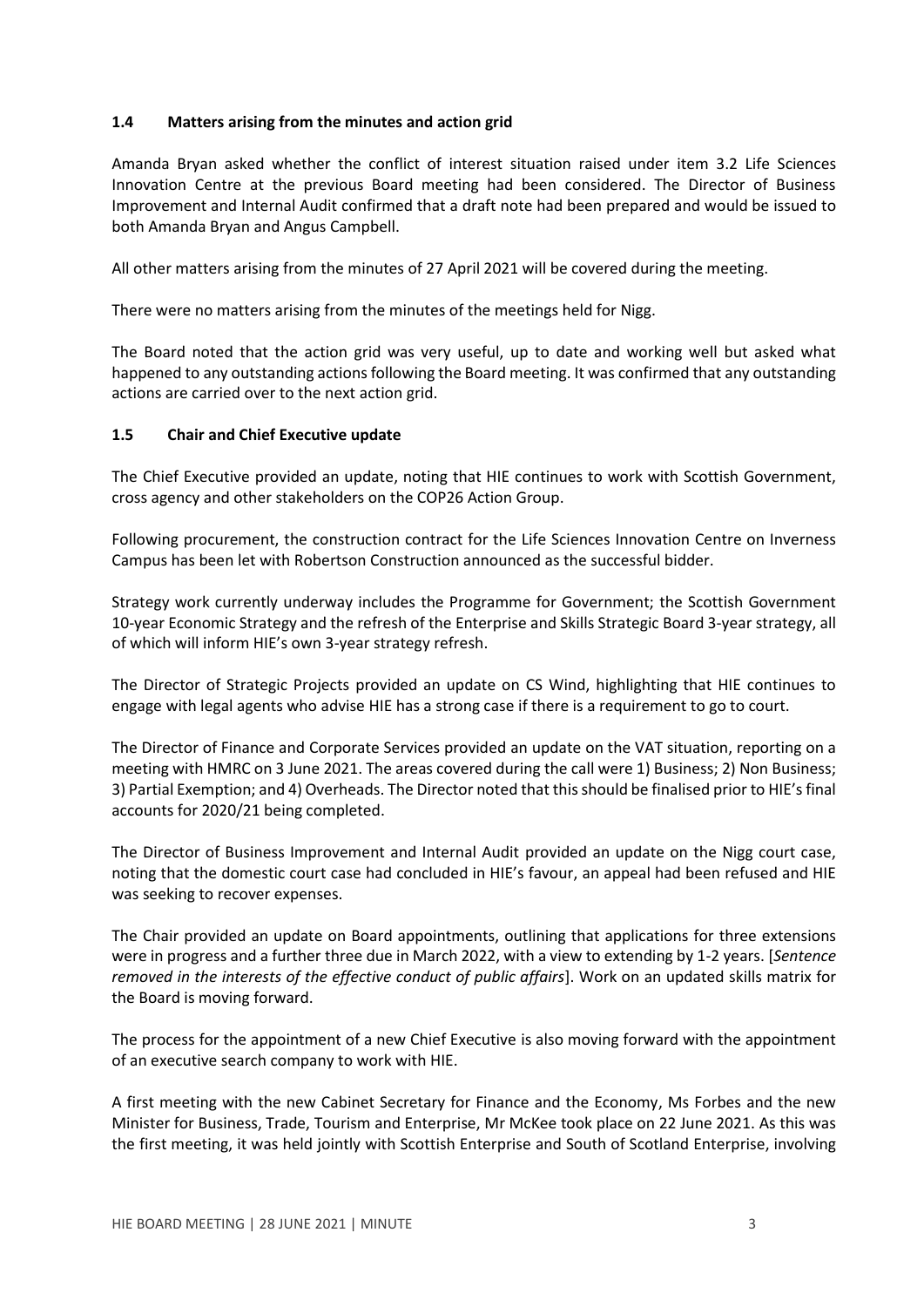## **1.4 Matters arising from the minutes and action grid**

Amanda Bryan asked whether the conflict of interest situation raised under item 3.2 Life Sciences Innovation Centre at the previous Board meeting had been considered. The Director of Business Improvement and Internal Audit confirmed that a draft note had been prepared and would be issued to both Amanda Bryan and Angus Campbell.

All other matters arising from the minutes of 27 April 2021 will be covered during the meeting.

There were no matters arising from the minutes of the meetings held for Nigg.

The Board noted that the action grid was very useful, up to date and working well but asked what happened to any outstanding actions following the Board meeting. It was confirmed that any outstanding actions are carried over to the next action grid.

## **1.5 Chair and Chief Executive update**

The Chief Executive provided an update, noting that HIE continues to work with Scottish Government, cross agency and other stakeholders on the COP26 Action Group.

Following procurement, the construction contract for the Life Sciences Innovation Centre on Inverness Campus has been let with Robertson Construction announced as the successful bidder.

Strategy work currently underway includes the Programme for Government; the Scottish Government 10-year Economic Strategy and the refresh of the Enterprise and Skills Strategic Board 3-year strategy, all of which will inform HIE's own 3-year strategy refresh.

The Director of Strategic Projects provided an update on CS Wind, highlighting that HIE continues to engage with legal agents who advise HIE has a strong case if there is a requirement to go to court.

The Director of Finance and Corporate Services provided an update on the VAT situation, reporting on a meeting with HMRC on 3 June 2021. The areas covered during the call were 1) Business; 2) Non Business; 3) Partial Exemption; and 4) Overheads. The Director noted that this should be finalised prior to HIE'sfinal accounts for 2020/21 being completed.

The Director of Business Improvement and Internal Audit provided an update on the Nigg court case, noting that the domestic court case had concluded in HIE's favour, an appeal had been refused and HIE was seeking to recover expenses.

The Chair provided an update on Board appointments, outlining that applications for three extensions were in progress and a further three due in March 2022, with a view to extending by 1-2 years. [*Sentence removed in the interests of the effective conduct of public affairs*]. Work on an updated skills matrix for the Board is moving forward.

The process for the appointment of a new Chief Executive is also moving forward with the appointment of an executive search company to work with HIE.

A first meeting with the new Cabinet Secretary for Finance and the Economy, Ms Forbes and the new Minister for Business, Trade, Tourism and Enterprise, Mr McKee took place on 22 June 2021. As this was the first meeting, it was held jointly with Scottish Enterprise and South of Scotland Enterprise, involving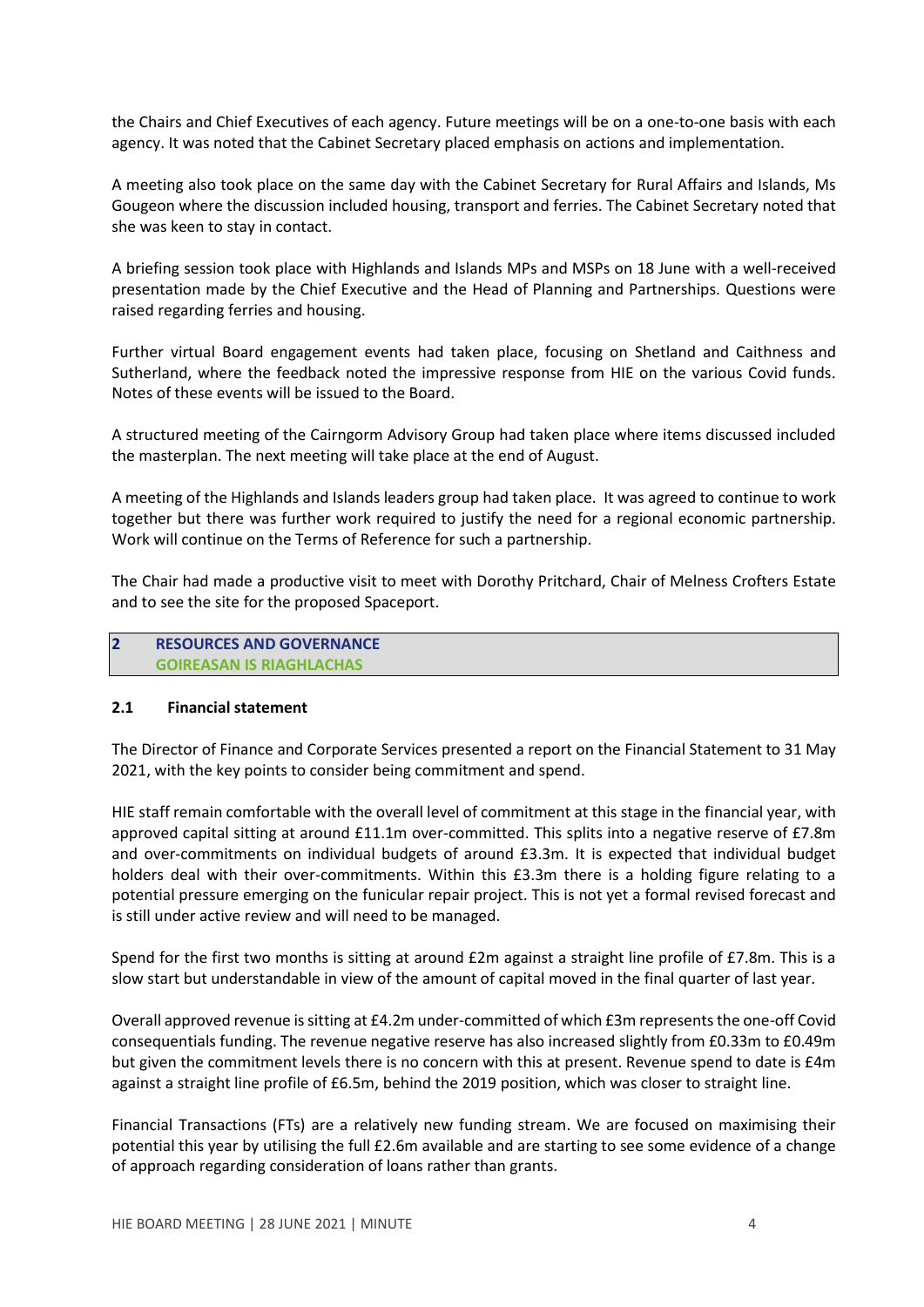the Chairs and Chief Executives of each agency. Future meetings will be on a one-to-one basis with each agency. It was noted that the Cabinet Secretary placed emphasis on actions and implementation.

A meeting also took place on the same day with the Cabinet Secretary for Rural Affairs and Islands, Ms Gougeon where the discussion included housing, transport and ferries. The Cabinet Secretary noted that she was keen to stay in contact.

A briefing session took place with Highlands and Islands MPs and MSPs on 18 June with a well-received presentation made by the Chief Executive and the Head of Planning and Partnerships. Questions were raised regarding ferries and housing.

Further virtual Board engagement events had taken place, focusing on Shetland and Caithness and Sutherland, where the feedback noted the impressive response from HIE on the various Covid funds. Notes of these events will be issued to the Board.

A structured meeting of the Cairngorm Advisory Group had taken place where items discussed included the masterplan. The next meeting will take place at the end of August.

A meeting of the Highlands and Islands leaders group had taken place. It was agreed to continue to work together but there was further work required to justify the need for a regional economic partnership. Work will continue on the Terms of Reference for such a partnership.

The Chair had made a productive visit to meet with Dorothy Pritchard, Chair of Melness Crofters Estate and to see the site for the proposed Spaceport.

## **2 RESOURCES AND GOVERNANCE GOIREASAN IS RIAGHLACHAS**

### **2.1 Financial statement**

The Director of Finance and Corporate Services presented a report on the Financial Statement to 31 May 2021, with the key points to consider being commitment and spend.

HIE staff remain comfortable with the overall level of commitment at this stage in the financial year, with approved capital sitting at around £11.1m over-committed. This splits into a negative reserve of £7.8m and over-commitments on individual budgets of around £3.3m. It is expected that individual budget holders deal with their over-commitments. Within this £3.3m there is a holding figure relating to a potential pressure emerging on the funicular repair project. This is not yet a formal revised forecast and is still under active review and will need to be managed.

Spend for the first two months is sitting at around £2m against a straight line profile of £7.8m. This is a slow start but understandable in view of the amount of capital moved in the final quarter of last year.

Overall approved revenue is sitting at £4.2m under-committed of which £3m represents the one-off Covid consequentials funding. The revenue negative reserve has also increased slightly from £0.33m to £0.49m but given the commitment levels there is no concern with this at present. Revenue spend to date is £4m against a straight line profile of £6.5m, behind the 2019 position, which was closer to straight line.

Financial Transactions (FTs) are a relatively new funding stream. We are focused on maximising their potential this year by utilising the full £2.6m available and are starting to see some evidence of a change of approach regarding consideration of loans rather than grants.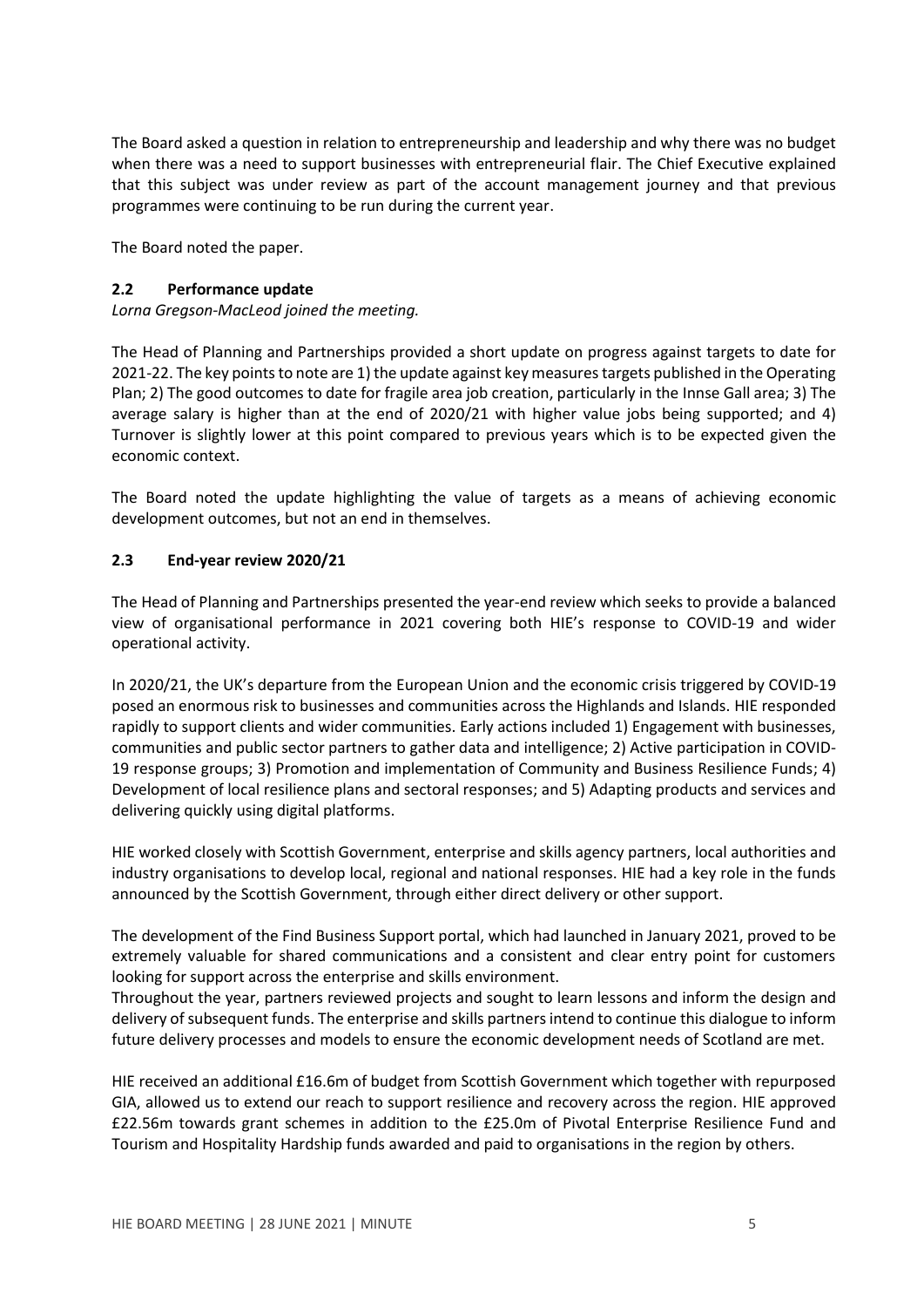The Board asked a question in relation to entrepreneurship and leadership and why there was no budget when there was a need to support businesses with entrepreneurial flair. The Chief Executive explained that this subject was under review as part of the account management journey and that previous programmes were continuing to be run during the current year.

The Board noted the paper.

### **2.2 Performance update**

*Lorna Gregson-MacLeod joined the meeting.*

The Head of Planning and Partnerships provided a short update on progress against targets to date for 2021-22. The key points to note are 1) the update against key measures targets published in the Operating Plan; 2) The good outcomes to date for fragile area job creation, particularly in the Innse Gall area; 3) The average salary is higher than at the end of 2020/21 with higher value jobs being supported; and 4) Turnover is slightly lower at this point compared to previous years which is to be expected given the economic context.

The Board noted the update highlighting the value of targets as a means of achieving economic development outcomes, but not an end in themselves.

## **2.3 End-year review 2020/21**

The Head of Planning and Partnerships presented the year-end review which seeks to provide a balanced view of organisational performance in 2021 covering both HIE's response to COVID-19 and wider operational activity.

In 2020/21, the UK's departure from the European Union and the economic crisis triggered by COVID-19 posed an enormous risk to businesses and communities across the Highlands and Islands. HIE responded rapidly to support clients and wider communities. Early actions included 1) Engagement with businesses, communities and public sector partners to gather data and intelligence; 2) Active participation in COVID-19 response groups; 3) Promotion and implementation of Community and Business Resilience Funds; 4) Development of local resilience plans and sectoral responses; and 5) Adapting products and services and delivering quickly using digital platforms.

HIE worked closely with Scottish Government, enterprise and skills agency partners, local authorities and industry organisations to develop local, regional and national responses. HIE had a key role in the funds announced by the Scottish Government, through either direct delivery or other support.

The development of the Find Business Support portal, which had launched in January 2021, proved to be extremely valuable for shared communications and a consistent and clear entry point for customers looking for support across the enterprise and skills environment.

Throughout the year, partners reviewed projects and sought to learn lessons and inform the design and delivery of subsequent funds. The enterprise and skills partners intend to continue this dialogue to inform future delivery processes and models to ensure the economic development needs of Scotland are met.

HIE received an additional £16.6m of budget from Scottish Government which together with repurposed GIA, allowed us to extend our reach to support resilience and recovery across the region. HIE approved £22.56m towards grant schemes in addition to the £25.0m of Pivotal Enterprise Resilience Fund and Tourism and Hospitality Hardship funds awarded and paid to organisations in the region by others.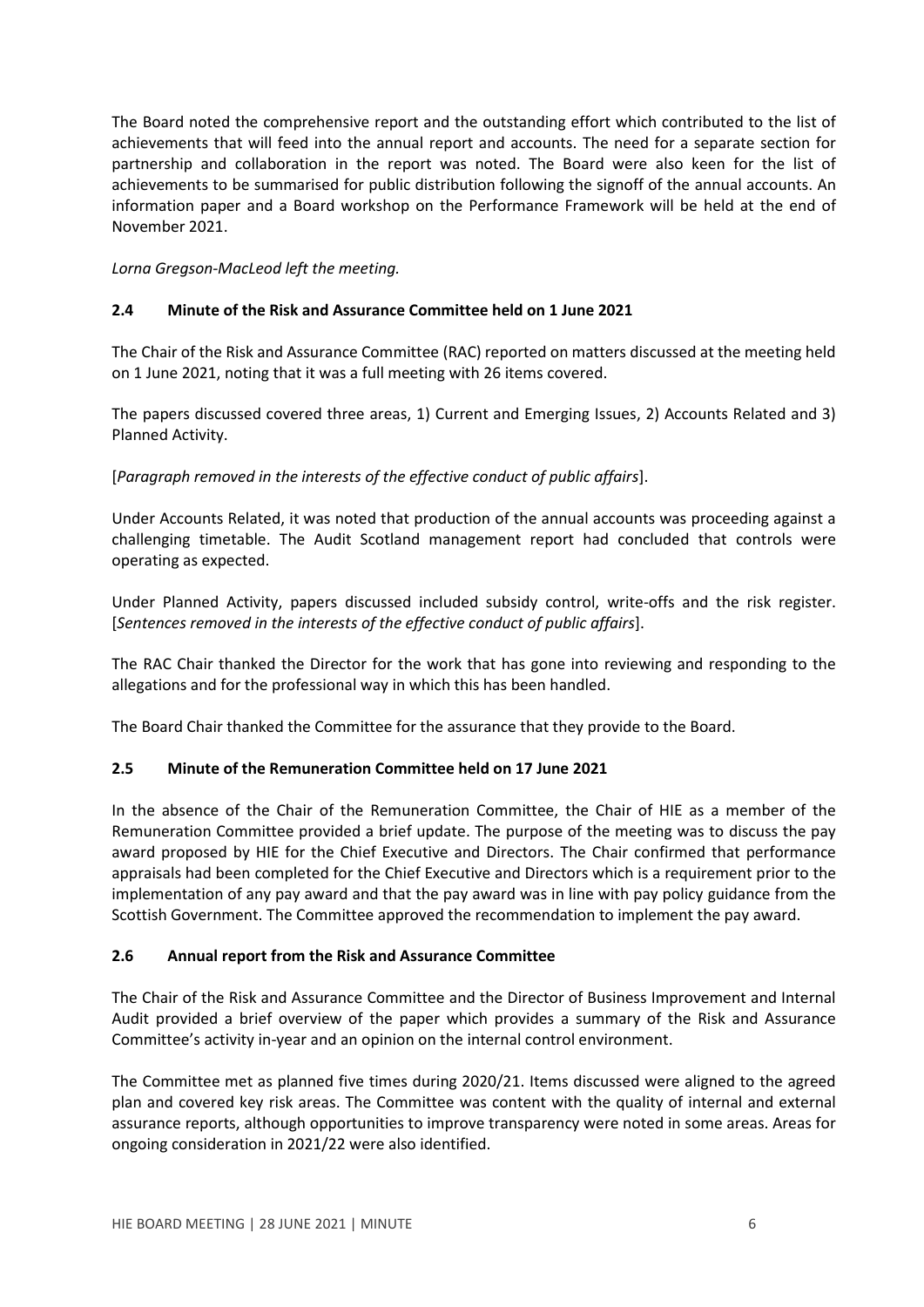The Board noted the comprehensive report and the outstanding effort which contributed to the list of achievements that will feed into the annual report and accounts. The need for a separate section for partnership and collaboration in the report was noted. The Board were also keen for the list of achievements to be summarised for public distribution following the signoff of the annual accounts. An information paper and a Board workshop on the Performance Framework will be held at the end of November 2021.

*Lorna Gregson-MacLeod left the meeting.*

## **2.4 Minute of the Risk and Assurance Committee held on 1 June 2021**

The Chair of the Risk and Assurance Committee (RAC) reported on matters discussed at the meeting held on 1 June 2021, noting that it was a full meeting with 26 items covered.

The papers discussed covered three areas, 1) Current and Emerging Issues, 2) Accounts Related and 3) Planned Activity.

[*Paragraph removed in the interests of the effective conduct of public affairs*].

Under Accounts Related, it was noted that production of the annual accounts was proceeding against a challenging timetable. The Audit Scotland management report had concluded that controls were operating as expected.

Under Planned Activity, papers discussed included subsidy control, write-offs and the risk register. [*Sentences removed in the interests of the effective conduct of public affairs*].

The RAC Chair thanked the Director for the work that has gone into reviewing and responding to the allegations and for the professional way in which this has been handled.

The Board Chair thanked the Committee for the assurance that they provide to the Board.

### **2.5 Minute of the Remuneration Committee held on 17 June 2021**

In the absence of the Chair of the Remuneration Committee, the Chair of HIE as a member of the Remuneration Committee provided a brief update. The purpose of the meeting was to discuss the pay award proposed by HIE for the Chief Executive and Directors. The Chair confirmed that performance appraisals had been completed for the Chief Executive and Directors which is a requirement prior to the implementation of any pay award and that the pay award was in line with pay policy guidance from the Scottish Government. The Committee approved the recommendation to implement the pay award.

### **2.6 Annual report from the Risk and Assurance Committee**

The Chair of the Risk and Assurance Committee and the Director of Business Improvement and Internal Audit provided a brief overview of the paper which provides a summary of the Risk and Assurance Committee's activity in-year and an opinion on the internal control environment.

The Committee met as planned five times during 2020/21. Items discussed were aligned to the agreed plan and covered key risk areas. The Committee was content with the quality of internal and external assurance reports, although opportunities to improve transparency were noted in some areas. Areas for ongoing consideration in 2021/22 were also identified.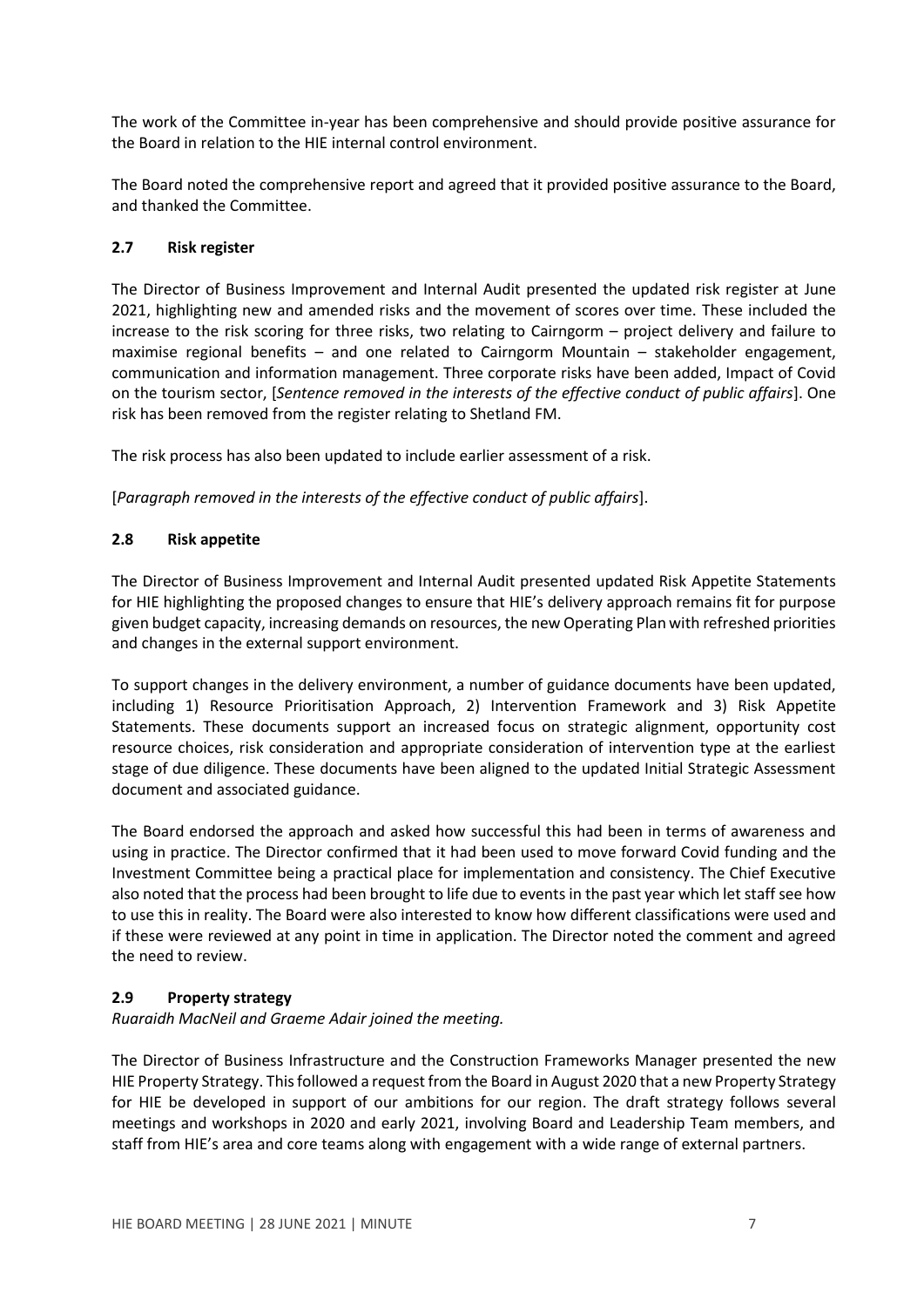The work of the Committee in-year has been comprehensive and should provide positive assurance for the Board in relation to the HIE internal control environment.

The Board noted the comprehensive report and agreed that it provided positive assurance to the Board, and thanked the Committee.

## **2.7 Risk register**

The Director of Business Improvement and Internal Audit presented the updated risk register at June 2021, highlighting new and amended risks and the movement of scores over time. These included the increase to the risk scoring for three risks, two relating to Cairngorm – project delivery and failure to maximise regional benefits – and one related to Cairngorm Mountain – stakeholder engagement, communication and information management. Three corporate risks have been added, Impact of Covid on the tourism sector, [*Sentence removed in the interests of the effective conduct of public affairs*]. One risk has been removed from the register relating to Shetland FM.

The risk process has also been updated to include earlier assessment of a risk.

[*Paragraph removed in the interests of the effective conduct of public affairs*].

## **2.8 Risk appetite**

The Director of Business Improvement and Internal Audit presented updated Risk Appetite Statements for HIE highlighting the proposed changes to ensure that HIE's delivery approach remains fit for purpose given budget capacity, increasing demands on resources, the new Operating Plan with refreshed priorities and changes in the external support environment.

To support changes in the delivery environment, a number of guidance documents have been updated, including 1) Resource Prioritisation Approach, 2) Intervention Framework and 3) Risk Appetite Statements. These documents support an increased focus on strategic alignment, opportunity cost resource choices, risk consideration and appropriate consideration of intervention type at the earliest stage of due diligence. These documents have been aligned to the updated Initial Strategic Assessment document and associated guidance.

The Board endorsed the approach and asked how successful this had been in terms of awareness and using in practice. The Director confirmed that it had been used to move forward Covid funding and the Investment Committee being a practical place for implementation and consistency. The Chief Executive also noted that the process had been brought to life due to events in the past year which let staff see how to use this in reality. The Board were also interested to know how different classifications were used and if these were reviewed at any point in time in application. The Director noted the comment and agreed the need to review.

### **2.9 Property strategy**

*Ruaraidh MacNeil and Graeme Adair joined the meeting.*

The Director of Business Infrastructure and the Construction Frameworks Manager presented the new HIE Property Strategy. This followed a request from the Board in August 2020 that a new Property Strategy for HIE be developed in support of our ambitions for our region. The draft strategy follows several meetings and workshops in 2020 and early 2021, involving Board and Leadership Team members, and staff from HIE's area and core teams along with engagement with a wide range of external partners.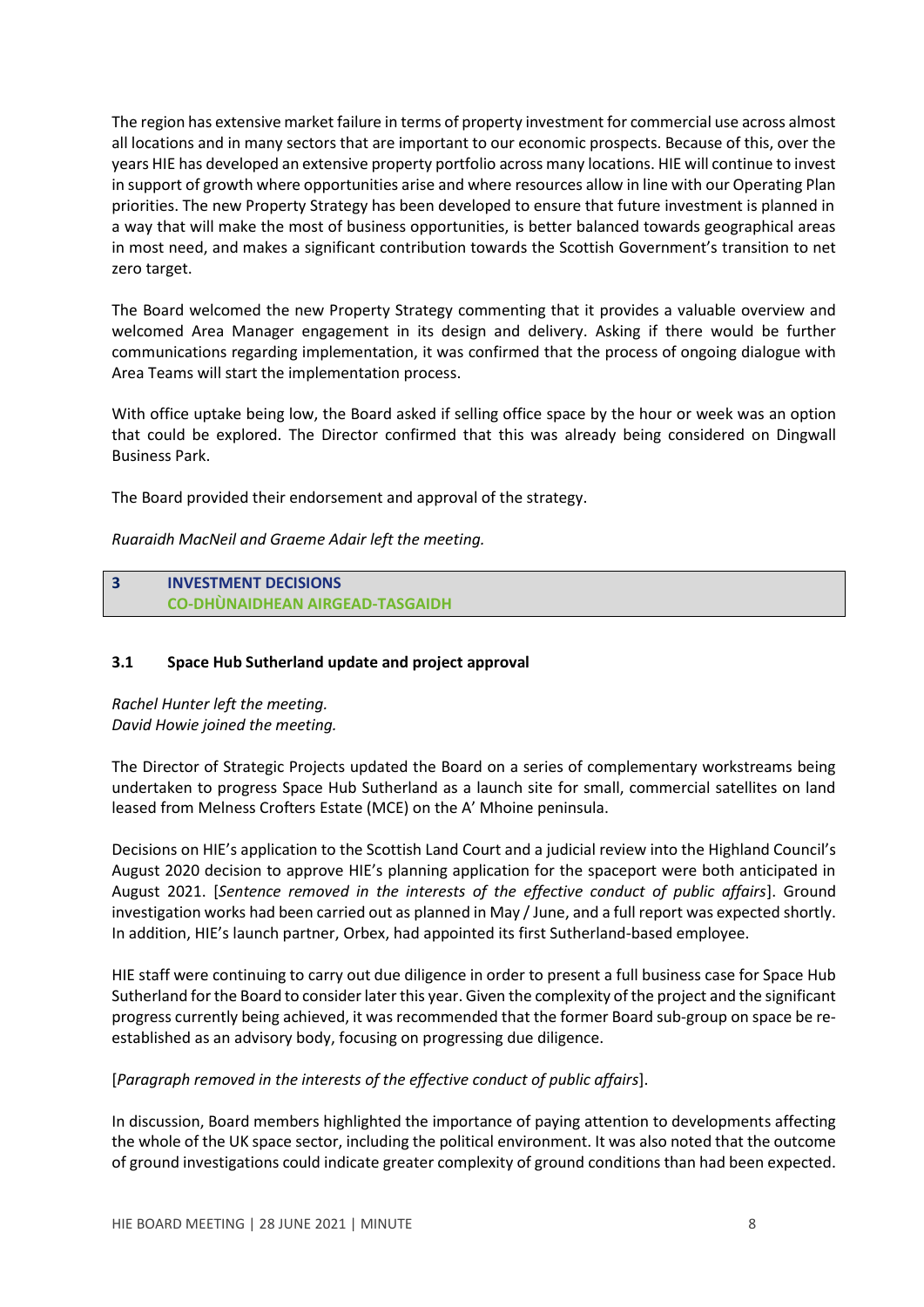The region has extensive market failure in terms of property investment for commercial use across almost all locations and in many sectors that are important to our economic prospects. Because of this, over the years HIE has developed an extensive property portfolio across many locations. HIE will continue to invest in support of growth where opportunities arise and where resources allow in line with our Operating Plan priorities. The new Property Strategy has been developed to ensure that future investment is planned in a way that will make the most of business opportunities, is better balanced towards geographical areas in most need, and makes a significant contribution towards the Scottish Government's transition to net zero target.

The Board welcomed the new Property Strategy commenting that it provides a valuable overview and welcomed Area Manager engagement in its design and delivery. Asking if there would be further communications regarding implementation, it was confirmed that the process of ongoing dialogue with Area Teams will start the implementation process.

With office uptake being low, the Board asked if selling office space by the hour or week was an option that could be explored. The Director confirmed that this was already being considered on Dingwall Business Park.

The Board provided their endorsement and approval of the strategy.

*Ruaraidh MacNeil and Graeme Adair left the meeting.*

## **3 INVESTMENT DECISIONS CO-DHÙNAIDHEAN AIRGEAD-TASGAIDH**

## **3.1 Space Hub Sutherland update and project approval**

*Rachel Hunter left the meeting. David Howie joined the meeting.*

The Director of Strategic Projects updated the Board on a series of complementary workstreams being undertaken to progress Space Hub Sutherland as a launch site for small, commercial satellites on land leased from Melness Crofters Estate (MCE) on the A' Mhoine peninsula.

Decisions on HIE's application to the Scottish Land Court and a judicial review into the Highland Council's August 2020 decision to approve HIE's planning application for the spaceport were both anticipated in August 2021. [*Sentence removed in the interests of the effective conduct of public affairs*]. Ground investigation works had been carried out as planned in May / June, and a full report was expected shortly. In addition, HIE's launch partner, Orbex, had appointed its first Sutherland-based employee.

HIE staff were continuing to carry out due diligence in order to present a full business case for Space Hub Sutherland for the Board to consider later this year. Given the complexity of the project and the significant progress currently being achieved, it was recommended that the former Board sub-group on space be reestablished as an advisory body, focusing on progressing due diligence.

[*Paragraph removed in the interests of the effective conduct of public affairs*].

In discussion, Board members highlighted the importance of paying attention to developments affecting the whole of the UK space sector, including the political environment. It was also noted that the outcome of ground investigations could indicate greater complexity of ground conditions than had been expected.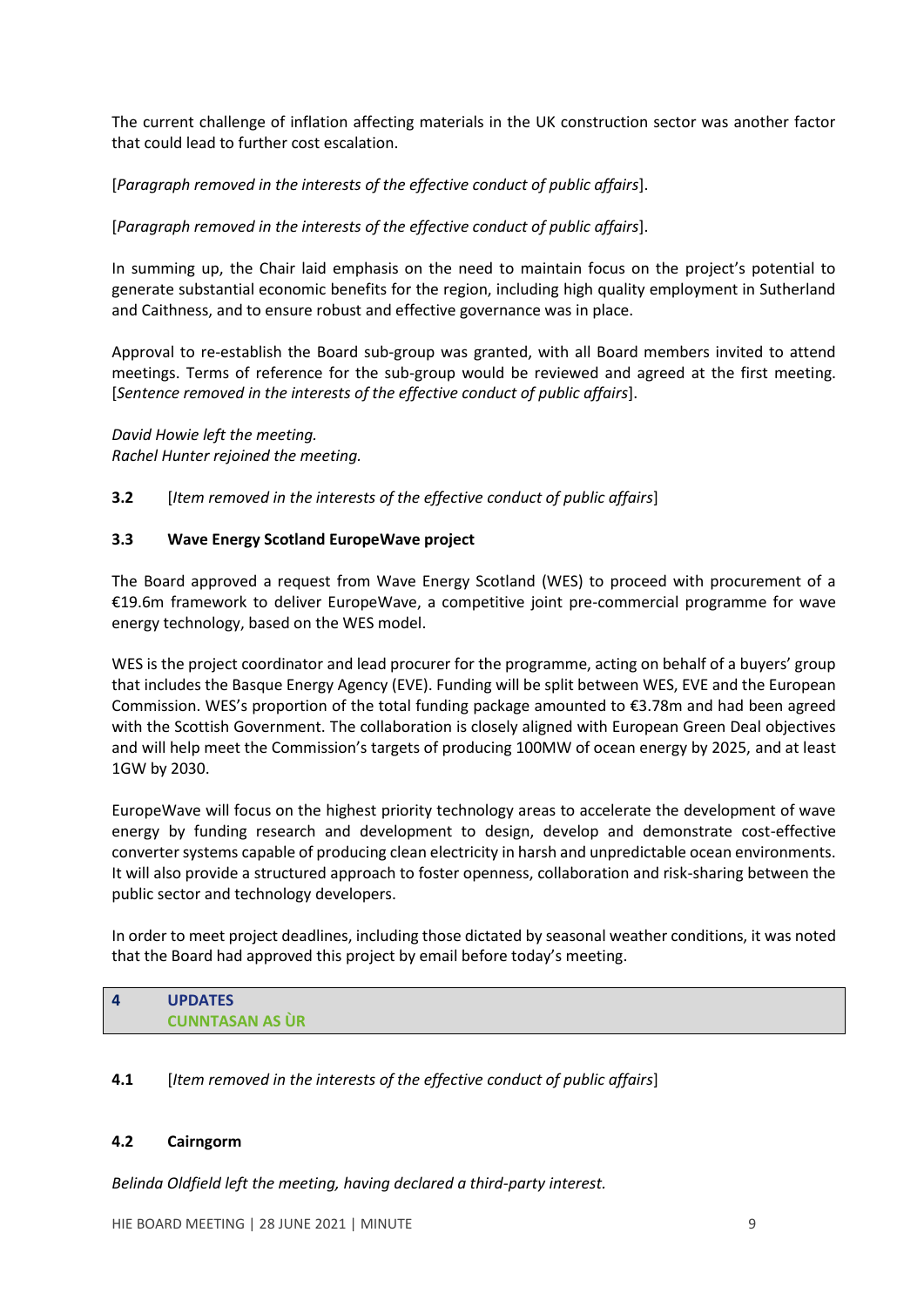The current challenge of inflation affecting materials in the UK construction sector was another factor that could lead to further cost escalation.

[*Paragraph removed in the interests of the effective conduct of public affairs*].

[*Paragraph removed in the interests of the effective conduct of public affairs*].

In summing up, the Chair laid emphasis on the need to maintain focus on the project's potential to generate substantial economic benefits for the region, including high quality employment in Sutherland and Caithness, and to ensure robust and effective governance was in place.

Approval to re-establish the Board sub-group was granted, with all Board members invited to attend meetings. Terms of reference for the sub-group would be reviewed and agreed at the first meeting. [*Sentence removed in the interests of the effective conduct of public affairs*].

*David Howie left the meeting. Rachel Hunter rejoined the meeting.*

**3.2** [*Item removed in the interests of the effective conduct of public affairs*]

### **3.3 Wave Energy Scotland EuropeWave project**

The Board approved a request from Wave Energy Scotland (WES) to proceed with procurement of a €19.6m framework to deliver EuropeWave, a competitive joint pre-commercial programme for wave energy technology, based on the WES model.

WES is the project coordinator and lead procurer for the programme, acting on behalf of a buyers' group that includes the Basque Energy Agency (EVE). Funding will be split between WES, EVE and the European Commission. WES's proportion of the total funding package amounted to €3.78m and had been agreed with the Scottish Government. The collaboration is closely aligned with European Green Deal objectives and will help meet the Commission's targets of producing 100MW of ocean energy by 2025, and at least 1GW by 2030.

EuropeWave will focus on the highest priority technology areas to accelerate the development of wave energy by funding research and development to design, develop and demonstrate cost-effective converter systems capable of producing clean electricity in harsh and unpredictable ocean environments. It will also provide a structured approach to foster openness, collaboration and risk-sharing between the public sector and technology developers.

In order to meet project deadlines, including those dictated by seasonal weather conditions, it was noted that the Board had approved this project by email before today's meeting.

| $\sqrt{ }$ | <b>UPDATES</b>         |
|------------|------------------------|
|            | <b>CUNNTASAN AS UR</b> |

### **4.1** [*Item removed in the interests of the effective conduct of public affairs*]

### **4.2 Cairngorm**

*Belinda Oldfield left the meeting, having declared a third-party interest.*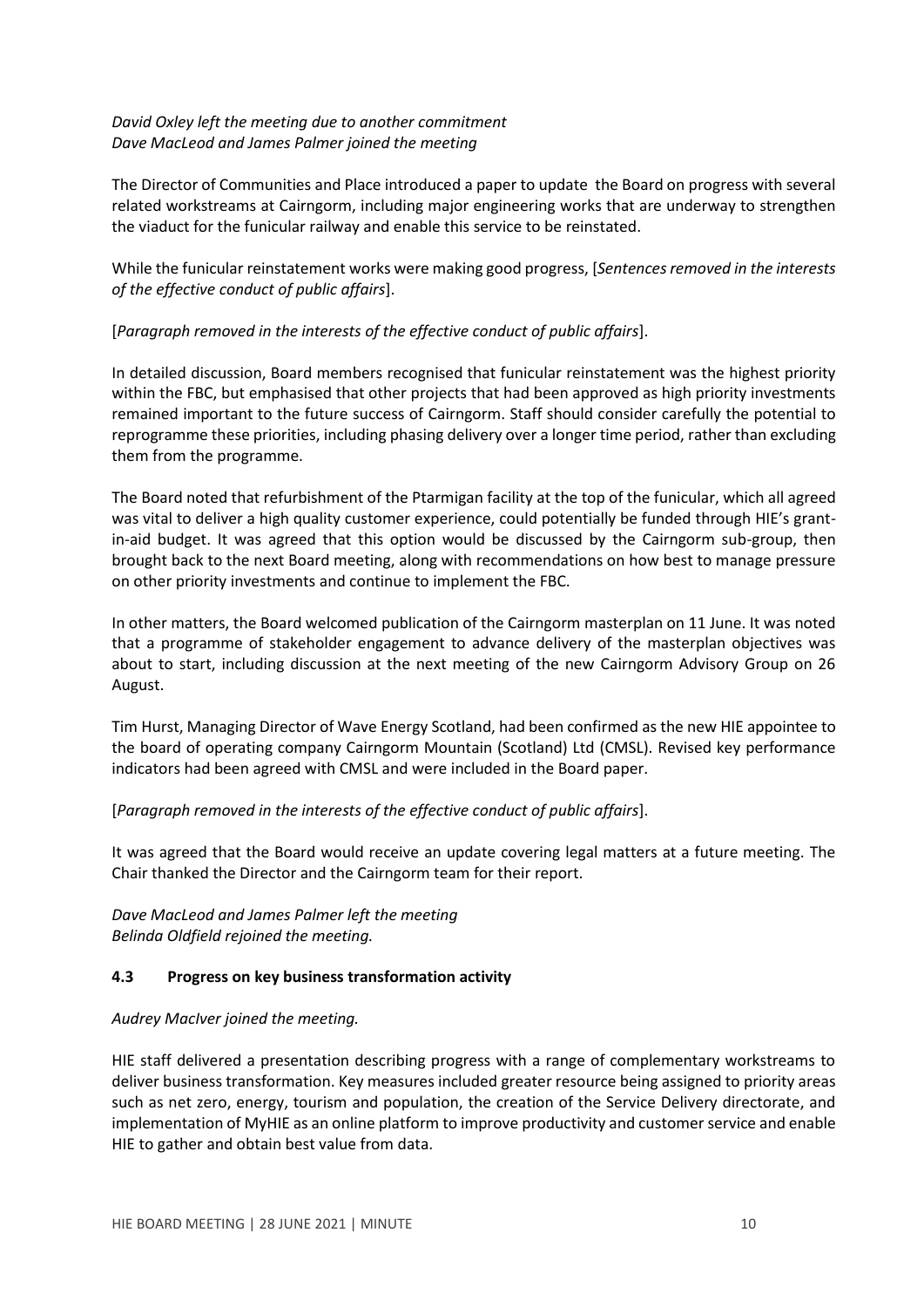## *David Oxley left the meeting due to another commitment Dave MacLeod and James Palmer joined the meeting*

The Director of Communities and Place introduced a paper to update the Board on progress with several related workstreams at Cairngorm, including major engineering works that are underway to strengthen the viaduct for the funicular railway and enable this service to be reinstated.

While the funicular reinstatement works were making good progress, [*Sentences removed in the interests of the effective conduct of public affairs*].

## [*Paragraph removed in the interests of the effective conduct of public affairs*].

In detailed discussion, Board members recognised that funicular reinstatement was the highest priority within the FBC, but emphasised that other projects that had been approved as high priority investments remained important to the future success of Cairngorm. Staff should consider carefully the potential to reprogramme these priorities, including phasing delivery over a longer time period, rather than excluding them from the programme.

The Board noted that refurbishment of the Ptarmigan facility at the top of the funicular, which all agreed was vital to deliver a high quality customer experience, could potentially be funded through HIE's grantin-aid budget. It was agreed that this option would be discussed by the Cairngorm sub-group, then brought back to the next Board meeting, along with recommendations on how best to manage pressure on other priority investments and continue to implement the FBC.

In other matters, the Board welcomed publication of the Cairngorm masterplan on 11 June. It was noted that a programme of stakeholder engagement to advance delivery of the masterplan objectives was about to start, including discussion at the next meeting of the new Cairngorm Advisory Group on 26 August.

Tim Hurst, Managing Director of Wave Energy Scotland, had been confirmed as the new HIE appointee to the board of operating company Cairngorm Mountain (Scotland) Ltd (CMSL). Revised key performance indicators had been agreed with CMSL and were included in the Board paper.

## [*Paragraph removed in the interests of the effective conduct of public affairs*].

It was agreed that the Board would receive an update covering legal matters at a future meeting. The Chair thanked the Director and the Cairngorm team for their report.

*Dave MacLeod and James Palmer left the meeting Belinda Oldfield rejoined the meeting.*

### **4.3 Progress on key business transformation activity**

### *Audrey MacIver joined the meeting.*

HIE staff delivered a presentation describing progress with a range of complementary workstreams to deliver business transformation. Key measures included greater resource being assigned to priority areas such as net zero, energy, tourism and population, the creation of the Service Delivery directorate, and implementation of MyHIE as an online platform to improve productivity and customer service and enable HIE to gather and obtain best value from data.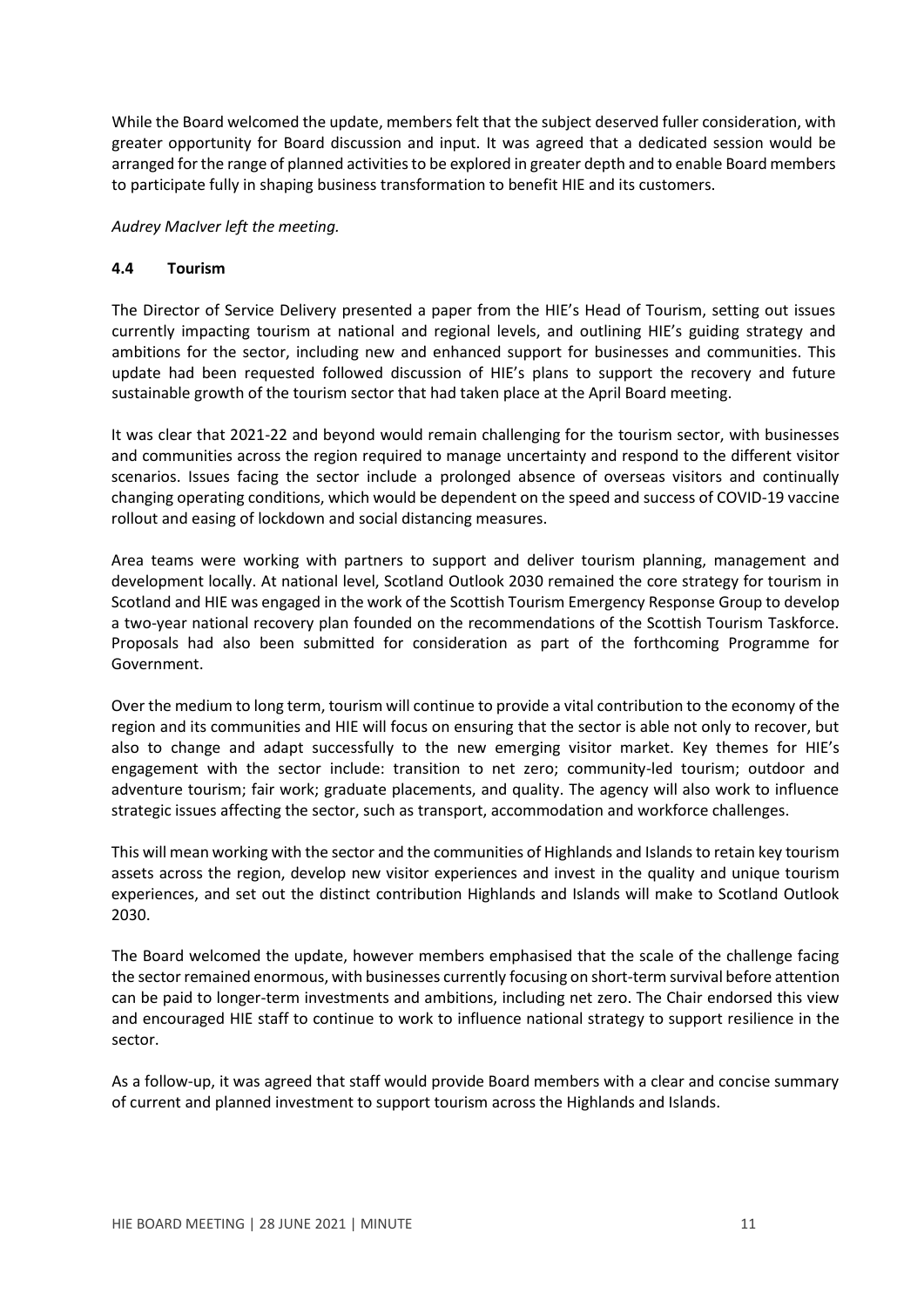While the Board welcomed the update, members felt that the subject deserved fuller consideration, with greater opportunity for Board discussion and input. It was agreed that a dedicated session would be arranged for the range of planned activities to be explored in greater depth and to enable Board members to participate fully in shaping business transformation to benefit HIE and its customers.

*Audrey MacIver left the meeting.*

#### **4.4 Tourism**

The Director of Service Delivery presented a paper from the HIE's Head of Tourism, setting out issues currently impacting tourism at national and regional levels, and outlining HIE's guiding strategy and ambitions for the sector, including new and enhanced support for businesses and communities. This update had been requested followed discussion of HIE's plans to support the recovery and future sustainable growth of the tourism sector that had taken place at the April Board meeting.

It was clear that 2021-22 and beyond would remain challenging for the tourism sector, with businesses and communities across the region required to manage uncertainty and respond to the different visitor scenarios. Issues facing the sector include a prolonged absence of overseas visitors and continually changing operating conditions, which would be dependent on the speed and success of COVID-19 vaccine rollout and easing of lockdown and social distancing measures.

Area teams were working with partners to support and deliver tourism planning, management and development locally. At national level, Scotland Outlook 2030 remained the core strategy for tourism in Scotland and HIE was engaged in the work of the Scottish Tourism Emergency Response Group to develop a two-year national recovery plan founded on the recommendations of the Scottish Tourism Taskforce. Proposals had also been submitted for consideration as part of the forthcoming Programme for Government.

Over the medium to long term, tourism will continue to provide a vital contribution to the economy of the region and its communities and HIE will focus on ensuring that the sector is able not only to recover, but also to change and adapt successfully to the new emerging visitor market. Key themes for HIE's engagement with the sector include: transition to net zero; community-led tourism; outdoor and adventure tourism; fair work; graduate placements, and quality. The agency will also work to influence strategic issues affecting the sector, such as transport, accommodation and workforce challenges.

This will mean working with the sector and the communities of Highlands and Islands to retain key tourism assets across the region, develop new visitor experiences and invest in the quality and unique tourism experiences, and set out the distinct contribution Highlands and Islands will make to Scotland Outlook 2030.

The Board welcomed the update, however members emphasised that the scale of the challenge facing the sector remained enormous, with businesses currently focusing on short-term survival before attention can be paid to longer-term investments and ambitions, including net zero. The Chair endorsed this view and encouraged HIE staff to continue to work to influence national strategy to support resilience in the sector.

As a follow-up, it was agreed that staff would provide Board members with a clear and concise summary of current and planned investment to support tourism across the Highlands and Islands.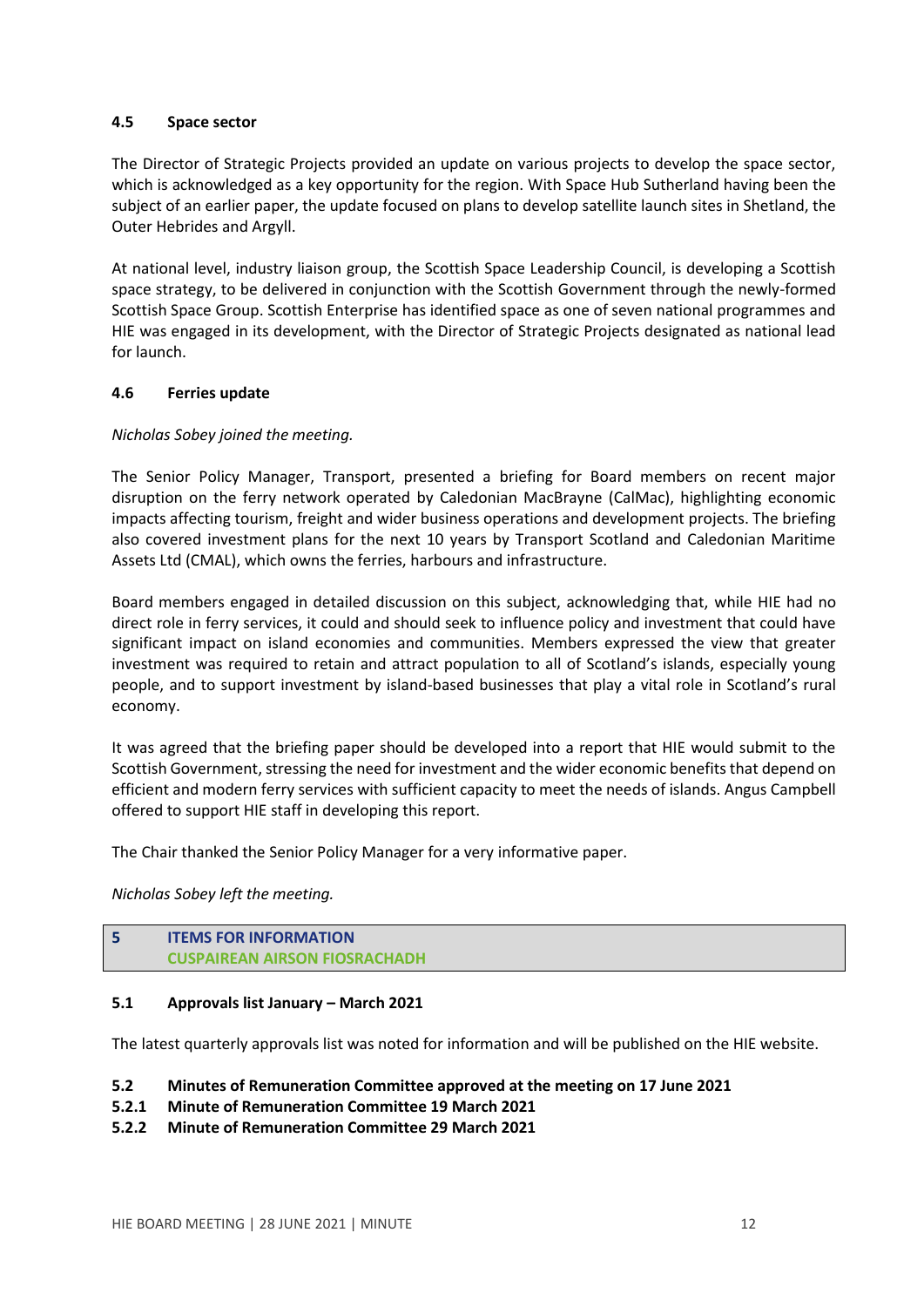### **4.5 Space sector**

The Director of Strategic Projects provided an update on various projects to develop the space sector, which is acknowledged as a key opportunity for the region. With Space Hub Sutherland having been the subject of an earlier paper, the update focused on plans to develop satellite launch sites in Shetland, the Outer Hebrides and Argyll.

At national level, industry liaison group, the Scottish Space Leadership Council, is developing a Scottish space strategy, to be delivered in conjunction with the Scottish Government through the newly-formed Scottish Space Group. Scottish Enterprise has identified space as one of seven national programmes and HIE was engaged in its development, with the Director of Strategic Projects designated as national lead for launch.

## **4.6 Ferries update**

## *Nicholas Sobey joined the meeting.*

The Senior Policy Manager, Transport, presented a briefing for Board members on recent major disruption on the ferry network operated by Caledonian MacBrayne (CalMac), highlighting economic impacts affecting tourism, freight and wider business operations and development projects. The briefing also covered investment plans for the next 10 years by Transport Scotland and Caledonian Maritime Assets Ltd (CMAL), which owns the ferries, harbours and infrastructure.

Board members engaged in detailed discussion on this subject, acknowledging that, while HIE had no direct role in ferry services, it could and should seek to influence policy and investment that could have significant impact on island economies and communities. Members expressed the view that greater investment was required to retain and attract population to all of Scotland's islands, especially young people, and to support investment by island-based businesses that play a vital role in Scotland's rural economy.

It was agreed that the briefing paper should be developed into a report that HIE would submit to the Scottish Government, stressing the need for investment and the wider economic benefits that depend on efficient and modern ferry services with sufficient capacity to meet the needs of islands. Angus Campbell offered to support HIE staff in developing this report.

The Chair thanked the Senior Policy Manager for a very informative paper.

*Nicholas Sobey left the meeting.*

# **5 ITEMS FOR INFORMATION CUSPAIREAN AIRSON FIOSRACHADH**

### **5.1 Approvals list January – March 2021**

The latest quarterly approvals list was noted for information and will be published on the HIE website.

### **5.2 Minutes of Remuneration Committee approved at the meeting on 17 June 2021**

- **5.2.1 Minute of Remuneration Committee 19 March 2021**
- **5.2.2 Minute of Remuneration Committee 29 March 2021**